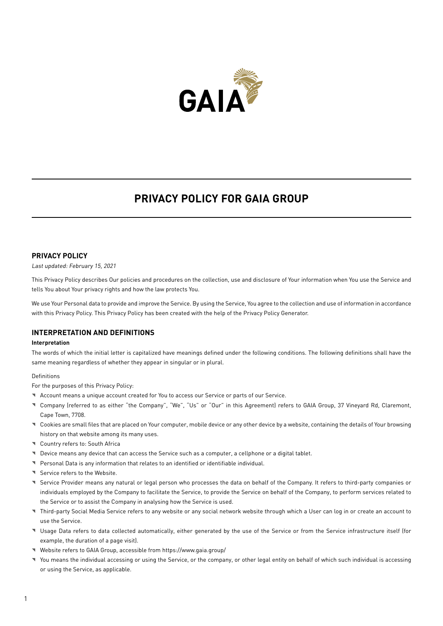

# **PRIVACY POLICY FOR GAIA GROUP**

## **PRIVACY POLICY**

Last updated: February 15, 2021

This Privacy Policy describes Our policies and procedures on the collection, use and disclosure of Your information when You use the Service and tells You about Your privacy rights and how the law protects You.

We use Your Personal data to provide and improve the Service. By using the Service, You agree to the collection and use of information in accordance with this Privacy Policy. This Privacy Policy has been created with the help of the Privacy Policy Generator.

## **INTERPRETATION AND DEFINITIONS**

#### **Interpretation**

The words of which the initial letter is capitalized have meanings defined under the following conditions. The following definitions shall have the same meaning regardless of whether they appear in singular or in plural.

#### Definitions

For the purposes of this Privacy Policy:

- { Account means a unique account created for You to access our Service or parts of our Service.
- { Company (referred to as either "the Company", "We", "Us" or "Our" in this Agreement) refers to GAIA Group, 37 Vineyard Rd, Claremont, Cape Town, 7708.
- { Cookies are small files that are placed on Your computer, mobile device or any other device by a website, containing the details of Your browsing history on that website among its many uses.
- { Country refers to: South Africa
- { Device means any device that can access the Service such as a computer, a cellphone or a digital tablet.
- { Personal Data is any information that relates to an identified or identifiable individual.
- Service refers to the Website.
- { Service Provider means any natural or legal person who processes the data on behalf of the Company. It refers to third-party companies or individuals employed by the Company to facilitate the Service, to provide the Service on behalf of the Company, to perform services related to the Service or to assist the Company in analysing how the Service is used.
- { Third-party Social Media Service refers to any website or any social network website through which a User can log in or create an account to use the Service.
- Usage Data refers to data collected automatically, either generated by the use of the Service or from the Service infrastructure itself (for example, the duration of a page visit).
- { Website refers to GAIA Group, accessible from https://www.gaia.group/
- { You means the individual accessing or using the Service, or the company, or other legal entity on behalf of which such individual is accessing or using the Service, as applicable.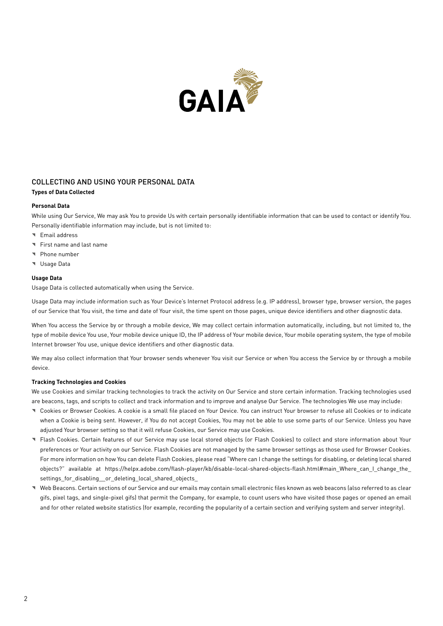

## COLLECTING AND USING YOUR PERSONAL DATA

## **Types of Data Collected**

## **Personal Data**

While using Our Service, We may ask You to provide Us with certain personally identifiable information that can be used to contact or identify You. Personally identifiable information may include, but is not limited to:

- { Email address
- { First name and last name
- { Phone number
- { Usage Data

#### **Usage Data**

Usage Data is collected automatically when using the Service.

Usage Data may include information such as Your Device's Internet Protocol address (e.g. IP address), browser type, browser version, the pages of our Service that You visit, the time and date of Your visit, the time spent on those pages, unique device identifiers and other diagnostic data.

When You access the Service by or through a mobile device, We may collect certain information automatically, including, but not limited to, the type of mobile device You use, Your mobile device unique ID, the IP address of Your mobile device, Your mobile operating system, the type of mobile Internet browser You use, unique device identifiers and other diagnostic data.

We may also collect information that Your browser sends whenever You visit our Service or when You access the Service by or through a mobile device.

#### **Tracking Technologies and Cookies**

We use Cookies and similar tracking technologies to track the activity on Our Service and store certain information. Tracking technologies used are beacons, tags, and scripts to collect and track information and to improve and analyse Our Service. The technologies We use may include:

- { Cookies or Browser Cookies. A cookie is a small file placed on Your Device. You can instruct Your browser to refuse all Cookies or to indicate when a Cookie is being sent. However, if You do not accept Cookies, You may not be able to use some parts of our Service. Unless you have adjusted Your browser setting so that it will refuse Cookies, our Service may use Cookies.
- { Flash Cookies. Certain features of our Service may use local stored objects (or Flash Cookies) to collect and store information about Your preferences or Your activity on our Service. Flash Cookies are not managed by the same browser settings as those used for Browser Cookies. For more information on how You can delete Flash Cookies, please read "Where can I change the settings for disabling, or deleting local shared objects?" available at https://helpx.adobe.com/flash-player/kb/disable-local-shared-objects-flash.html#main\_Where\_can\_I\_change\_the\_ settings\_for\_disabling\_\_or\_deleting\_local\_shared\_objects\_
- { Web Beacons. Certain sections of our Service and our emails may contain small electronic files known as web beacons (also referred to as clear gifs, pixel tags, and single-pixel gifs) that permit the Company, for example, to count users who have visited those pages or opened an email and for other related website statistics (for example, recording the popularity of a certain section and verifying system and server integrity).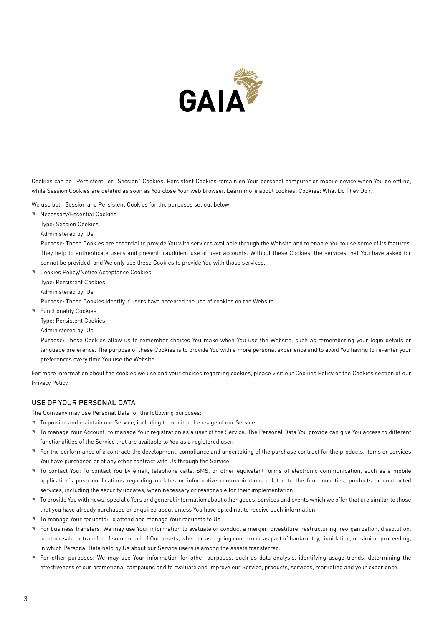

Cookies can be "Persistent" or "Session" Cookies. Persistent Cookies remain on Your personal computer or mobile device when You go offline, while Session Cookies are deleted as soon as You close Your web browser. Learn more about cookies: Cookies: What Do They Do?.

We use both Session and Persistent Cookies for the purposes set out below:

- { Necessary/Essential Cookies
	- Type: Session Cookies
	- Administered by: Us

 Purpose: These Cookies are essential to provide You with services available through the Website and to enable You to use some of its features. They help to authenticate users and prevent fraudulent use of user accounts. Without these Cookies, the services that You have asked for cannot be provided, and We only use these Cookies to provide You with those services.

**T** Cookies Policy/Notice Acceptance Cookies

- Type: Persistent Cookies
- Administered by: Us

Purpose: These Cookies identify if users have accepted the use of cookies on the Website.

- **T** Functionality Cookies
	- Type: Persistent Cookies
	- Administered by: Us

 Purpose: These Cookies allow us to remember choices You make when You use the Website, such as remembering your login details or language preference. The purpose of these Cookies is to provide You with a more personal experience and to avoid You having to re-enter your preferences every time You use the Website.

For more information about the cookies we use and your choices regarding cookies, please visit our Cookies Policy or the Cookies section of our Privacy Policy.

## USE OF YOUR PERSONAL DATA

The Company may use Personal Data for the following purposes:

- { To provide and maintain our Service, including to monitor the usage of our Service.
- { To manage Your Account: to manage Your registration as a user of the Service. The Personal Data You provide can give You access to different functionalities of the Service that are available to You as a registered user.
- { For the performance of a contract: the development, compliance and undertaking of the purchase contract for the products, items or services You have purchased or of any other contract with Us through the Service.
- { To contact You: To contact You by email, telephone calls, SMS, or other equivalent forms of electronic communication, such as a mobile application's push notifications regarding updates or informative communications related to the functionalities, products or contracted services, including the security updates, when necessary or reasonable for their implementation.
- { To provide You with news, special offers and general information about other goods, services and events which we offer that are similar to those that you have already purchased or enquired about unless You have opted not to receive such information.
- { To manage Your requests: To attend and manage Your requests to Us.
- { For business transfers: We may use Your information to evaluate or conduct a merger, divestiture, restructuring, reorganization, dissolution, or other sale or transfer of some or all of Our assets, whether as a going concern or as part of bankruptcy, liquidation, or similar proceeding, in which Personal Data held by Us about our Service users is among the assets transferred.
- { For other purposes: We may use Your information for other purposes, such as data analysis, identifying usage trends, determining the effectiveness of our promotional campaigns and to evaluate and improve our Service, products, services, marketing and your experience.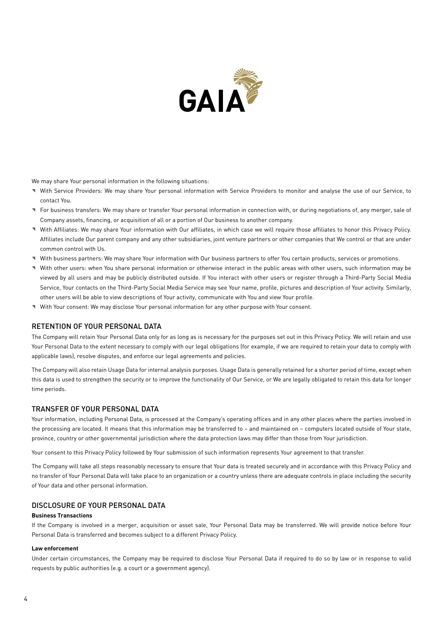

We may share Your personal information in the following situations:

- \ With Service Providers: We may share Your personal information with Service Providers to monitor and analyse the use of our Service, to contact You.
- { For business transfers: We may share or transfer Your personal information in connection with, or during negotiations of, any merger, sale of Company assets, financing, or acquisition of all or a portion of Our business to another company.
- { With Affiliates: We may share Your information with Our affiliates, in which case we will require those affiliates to honor this Privacy Policy. Affiliates include Our parent company and any other subsidiaries, joint venture partners or other companies that We control or that are under common control with Us.
- { With business partners: We may share Your information with Our business partners to offer You certain products, services or promotions.
- { With other users: when You share personal information or otherwise interact in the public areas with other users, such information may be viewed by all users and may be publicly distributed outside. If You interact with other users or register through a Third-Party Social Media Service, Your contacts on the Third-Party Social Media Service may see Your name, profile, pictures and description of Your activity. Similarly, other users will be able to view descriptions of Your activity, communicate with You and view Your profile.
- { With Your consent: We may disclose Your personal information for any other purpose with Your consent.

#### RETENTION OF YOUR PERSONAL DATA

The Company will retain Your Personal Data only for as long as is necessary for the purposes set out in this Privacy Policy. We will retain and use Your Personal Data to the extent necessary to comply with our legal obligations (for example, if we are required to retain your data to comply with applicable laws), resolve disputes, and enforce our legal agreements and policies.

The Company will also retain Usage Data for internal analysis purposes. Usage Data is generally retained for a shorter period of time, except when this data is used to strengthen the security or to improve the functionality of Our Service, or We are legally obligated to retain this data for longer time periods.

#### TRANSFER OF YOUR PERSONAL DATA

Your information, including Personal Data, is processed at the Company's operating offices and in any other places where the parties involved in the processing are located. It means that this information may be transferred to – and maintained on – computers located outside of Your state, province, country or other governmental jurisdiction where the data protection laws may differ than those from Your jurisdiction.

Your consent to this Privacy Policy followed by Your submission of such information represents Your agreement to that transfer.

The Company will take all steps reasonably necessary to ensure that Your data is treated securely and in accordance with this Privacy Policy and no transfer of Your Personal Data will take place to an organization or a country unless there are adequate controls in place including the security of Your data and other personal information.

## DISCLOSURE OF YOUR PERSONAL DATA

#### **Business Transactions**

If the Company is involved in a merger, acquisition or asset sale, Your Personal Data may be transferred. We will provide notice before Your Personal Data is transferred and becomes subject to a different Privacy Policy.

#### **Law enforcement**

Under certain circumstances, the Company may be required to disclose Your Personal Data if required to do so by law or in response to valid requests by public authorities (e.g. a court or a government agency).